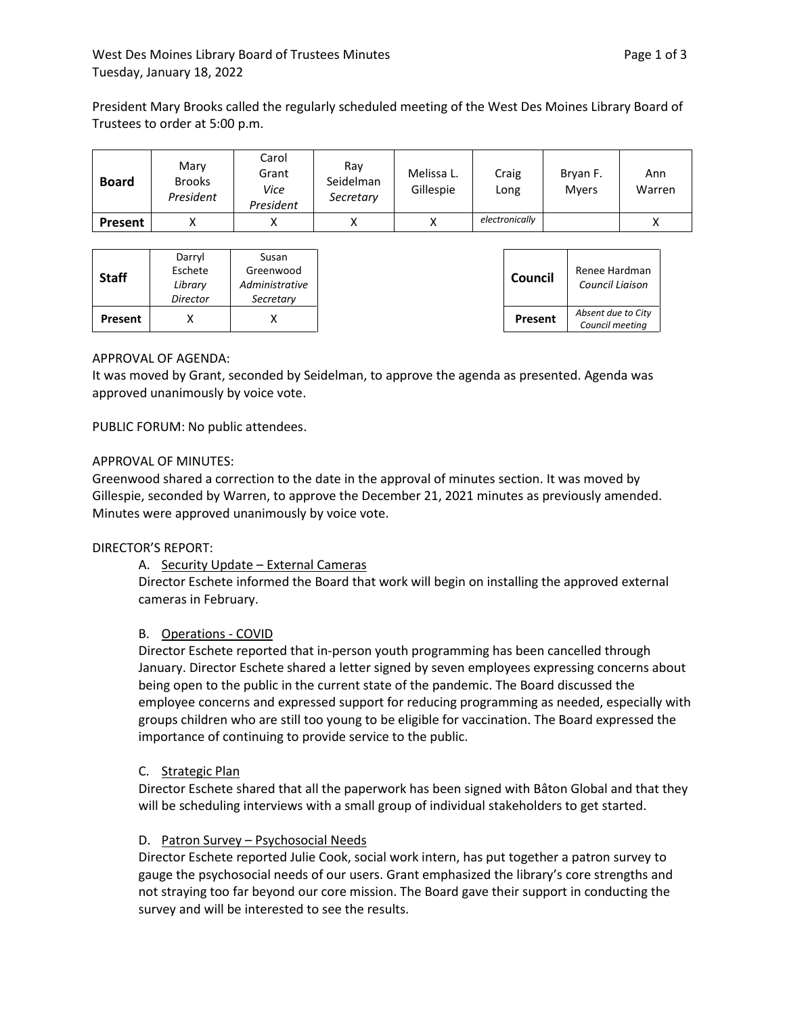President Mary Brooks called the regularly scheduled meeting of the West Des Moines Library Board of Trustees to order at 5:00 p.m.

| <b>Board</b>   | Mary<br><b>Brooks</b><br>President | Carol<br>Grant<br>Vice<br>President | Ray<br>Seidelman<br>Secretary | Melissa L.<br>Gillespie | Craig<br>Long  | Bryan F.<br><b>Mvers</b> | Ann<br>Warren |
|----------------|------------------------------------|-------------------------------------|-------------------------------|-------------------------|----------------|--------------------------|---------------|
| <b>Present</b> |                                    |                                     |                               |                         | electronically |                          | ́             |

| Council<br>Council Liaison            |
|---------------------------------------|
| Absent due to City<br>Council meeting |
|                                       |

# APPROVAL OF AGENDA:

It was moved by Grant, seconded by Seidelman, to approve the agenda as presented. Agenda was approved unanimously by voice vote.

PUBLIC FORUM: No public attendees.

# APPROVAL OF MINUTES:

Greenwood shared a correction to the date in the approval of minutes section. It was moved by Gillespie, seconded by Warren, to approve the December 21, 2021 minutes as previously amended. Minutes were approved unanimously by voice vote.

# DIRECTOR'S REPORT:

A. Security Update – External Cameras

Director Eschete informed the Board that work will begin on installing the approved external cameras in February.

# B. Operations - COVID

Director Eschete reported that in-person youth programming has been cancelled through January. Director Eschete shared a letter signed by seven employees expressing concerns about being open to the public in the current state of the pandemic. The Board discussed the employee concerns and expressed support for reducing programming as needed, especially with groups children who are still too young to be eligible for vaccination. The Board expressed the importance of continuing to provide service to the public.

# C. Strategic Plan

Director Eschete shared that all the paperwork has been signed with Bâton Global and that they will be scheduling interviews with a small group of individual stakeholders to get started.

# D. Patron Survey – Psychosocial Needs

Director Eschete reported Julie Cook, social work intern, has put together a patron survey to gauge the psychosocial needs of our users. Grant emphasized the library's core strengths and not straying too far beyond our core mission. The Board gave their support in conducting the survey and will be interested to see the results.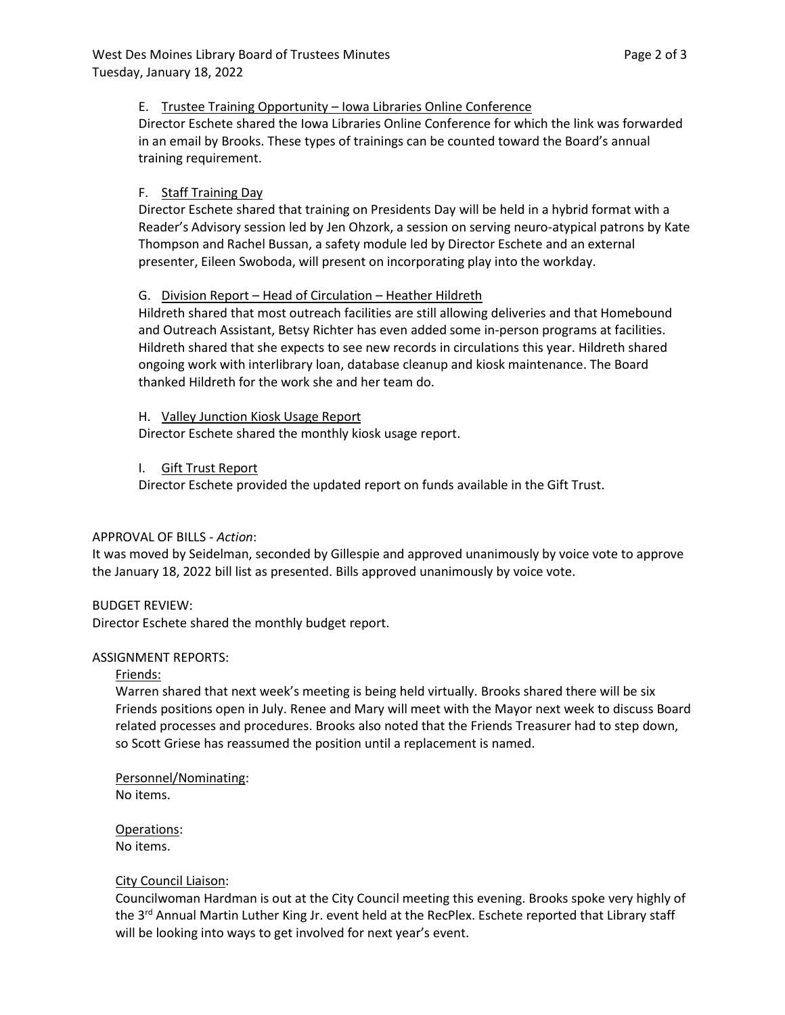#### E. Trustee Training Opportunity – Iowa Libraries Online Conference

Director Eschete shared the Iowa Libraries Online Conference for which the link was forwarded in an email by Brooks. These types of trainings can be counted toward the Board's annual training requirement.

# F. Staff Training Day

Director Eschete shared that training on Presidents Day will be held in a hybrid format with a Reader's Advisory session led by Jen Ohzork, a session on serving neuro-atypical patrons by Kate Thompson and Rachel Bussan, a safety module led by Director Eschete and an external presenter, Eileen Swoboda, will present on incorporating play into the workday.

# G. Division Report – Head of Circulation – Heather Hildreth

Hildreth shared that most outreach facilities are still allowing deliveries and that Homebound and Outreach Assistant, Betsy Richter has even added some in-person programs at facilities. Hildreth shared that she expects to see new records in circulations this year. Hildreth shared ongoing work with interlibrary loan, database cleanup and kiosk maintenance. The Board thanked Hildreth for the work she and her team do.

H. Valley Junction Kiosk Usage Report Director Eschete shared the monthly kiosk usage report.

#### I. Gift Trust Report

Director Eschete provided the updated report on funds available in the Gift Trust.

#### APPROVAL OF BILLS - *Action*:

It was moved by Seidelman, seconded by Gillespie and approved unanimously by voice vote to approve the January 18, 2022 bill list as presented. Bills approved unanimously by voice vote.

#### BUDGET REVIEW:

Director Eschete shared the monthly budget report.

#### ASSIGNMENT REPORTS:

#### Friends:

Warren shared that next week's meeting is being held virtually. Brooks shared there will be six Friends positions open in July. Renee and Mary will meet with the Mayor next week to discuss Board related processes and procedures. Brooks also noted that the Friends Treasurer had to step down, so Scott Griese has reassumed the position until a replacement is named.

# Personnel/Nominating:

No items.

#### Operations: No items.

# City Council Liaison:

Councilwoman Hardman is out at the City Council meeting this evening. Brooks spoke very highly of the 3<sup>rd</sup> Annual Martin Luther King Jr. event held at the RecPlex. Eschete reported that Library staff will be looking into ways to get involved for next year's event.